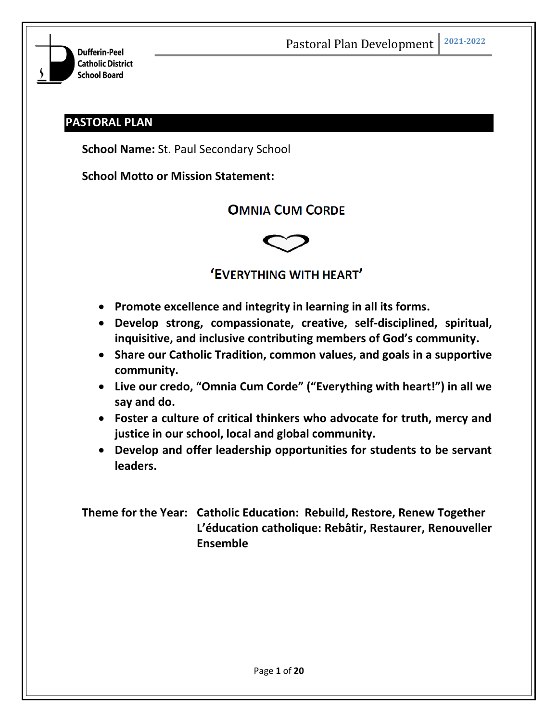

# **PASTORAL PLAN**

**School Name:** St. Paul Secondary School

**School Motto or Mission Statement:**

# **OMNIA CUM CORDE**



# 'EVERYTHING WITH HEART'

- **Promote excellence and integrity in learning in all its forms.**
- **Develop strong, compassionate, creative, self-disciplined, spiritual, inquisitive, and inclusive contributing members of God's community.**
- **Share our Catholic Tradition, common values, and goals in a supportive community.**
- **Live our credo, "Omnia Cum Corde" ("Everything with heart!") in all we say and do.**
- **Foster a culture of critical thinkers who advocate for truth, mercy and justice in our school, local and global community.**
- **Develop and offer leadership opportunities for students to be servant leaders.**

**Theme for the Year: Catholic Education: Rebuild, Restore, Renew Together L'éducation catholique: Rebâtir, Restaurer, Renouveller Ensemble**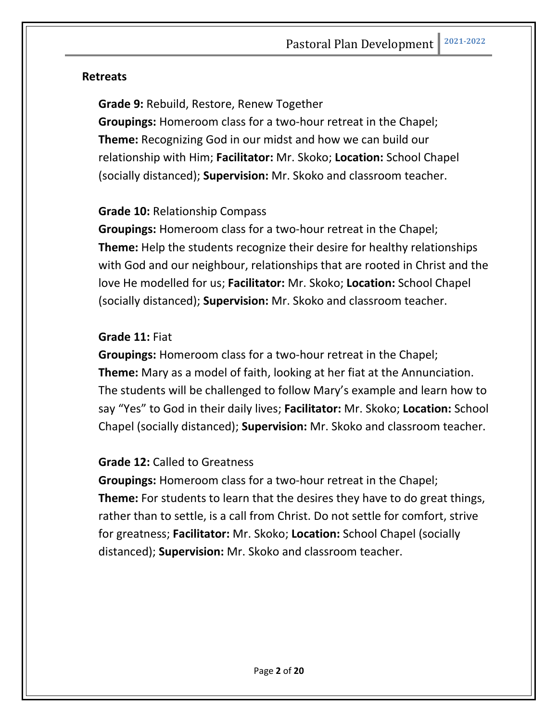# **Retreats**

**Grade 9:** Rebuild, Restore, Renew Together

**Groupings:** Homeroom class for a two-hour retreat in the Chapel; **Theme:** Recognizing God in our midst and how we can build our relationship with Him; **Facilitator:** Mr. Skoko; **Location:** School Chapel (socially distanced); **Supervision:** Mr. Skoko and classroom teacher.

# **Grade 10:** Relationship Compass

**Groupings:** Homeroom class for a two-hour retreat in the Chapel; **Theme:** Help the students recognize their desire for healthy relationships with God and our neighbour, relationships that are rooted in Christ and the love He modelled for us; **Facilitator:** Mr. Skoko; **Location:** School Chapel (socially distanced); **Supervision:** Mr. Skoko and classroom teacher.

# **Grade 11:** Fiat

**Groupings:** Homeroom class for a two-hour retreat in the Chapel; **Theme:** Mary as a model of faith, looking at her fiat at the Annunciation. The students will be challenged to follow Mary's example and learn how to say "Yes" to God in their daily lives; **Facilitator:** Mr. Skoko; **Location:** School Chapel (socially distanced); **Supervision:** Mr. Skoko and classroom teacher.

# **Grade 12:** Called to Greatness

**Groupings:** Homeroom class for a two-hour retreat in the Chapel; **Theme:** For students to learn that the desires they have to do great things, rather than to settle, is a call from Christ. Do not settle for comfort, strive for greatness; **Facilitator:** Mr. Skoko; **Location:** School Chapel (socially distanced); **Supervision:** Mr. Skoko and classroom teacher.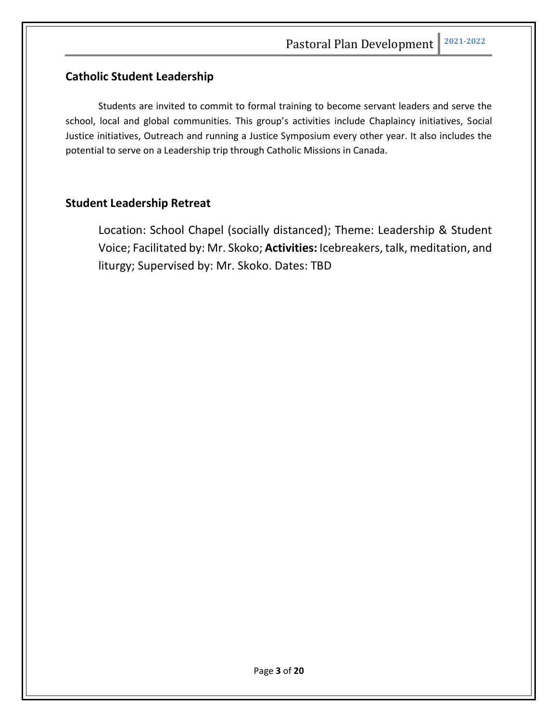# **Catholic Student Leadership**

Students are invited to commit to formal training to become servant leaders and serve the school, local and global communities. This group's activities include Chaplaincy initiatives, Social Justice initiatives, Outreach and running a Justice Symposium every other year. It also includes the potential to serve on a Leadership trip through Catholic Missions in Canada.

# **Student Leadership Retreat**

Location: School Chapel (socially distanced); Theme: Leadership & Student Voice; Facilitated by: Mr. Skoko; **Activities:** Icebreakers, talk, meditation, and liturgy; Supervised by: Mr. Skoko. Dates: TBD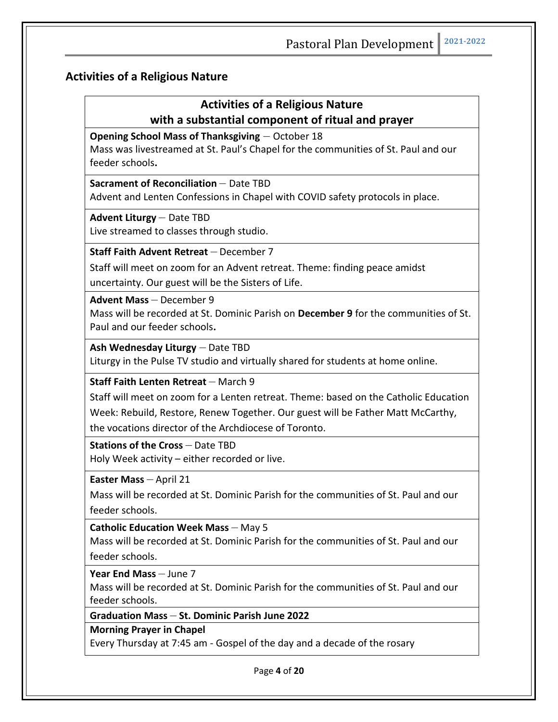# **Activities of a Religious Nature**

# **Activities of a Religious Nature with a substantial component of ritual and prayer**

**Opening School Mass of Thanksgiving** – October 18

Mass was livestreamed at St. Paul's Chapel for the communities of St. Paul and our feeder schools**.** 

#### **Sacrament of Reconciliation** – Date TBD

Advent and Lenten Confessions in Chapel with COVID safety protocols in place.

#### **Advent Liturgy** – Date TBD

Live streamed to classes through studio.

**Staff Faith Advent Retreat** – December 7

Staff will meet on zoom for an Advent retreat. Theme: finding peace amidst

uncertainty. Our guest will be the Sisters of Life.

**Advent Mass** – December 9

Mass will be recorded at St. Dominic Parish on **December 9** for the communities of St. Paul and our feeder schools**.** 

**Ash Wednesday Liturgy** – Date TBD

Liturgy in the Pulse TV studio and virtually shared for students at home online.

**Staff Faith Lenten Retreat** – March 9

Staff will meet on zoom for a Lenten retreat. Theme: based on the Catholic Education

Week: Rebuild, Restore, Renew Together. Our guest will be Father Matt McCarthy,

the vocations director of the Archdiocese of Toronto.

**Stations of the Cross** – Date TBD Holy Week activity – either recorded or live.

**Easter Mass** – April 21

Mass will be recorded at St. Dominic Parish for the communities of St. Paul and our feeder schools.

**Catholic Education Week Mass** – May 5

Mass will be recorded at St. Dominic Parish for the communities of St. Paul and our feeder schools.

**Year End Mass** – June 7

Mass will be recorded at St. Dominic Parish for the communities of St. Paul and our feeder schools.

# **Graduation Mass** – **St. Dominic Parish June 2022**

**Morning Prayer in Chapel** 

Every Thursday at 7:45 am - Gospel of the day and a decade of the rosary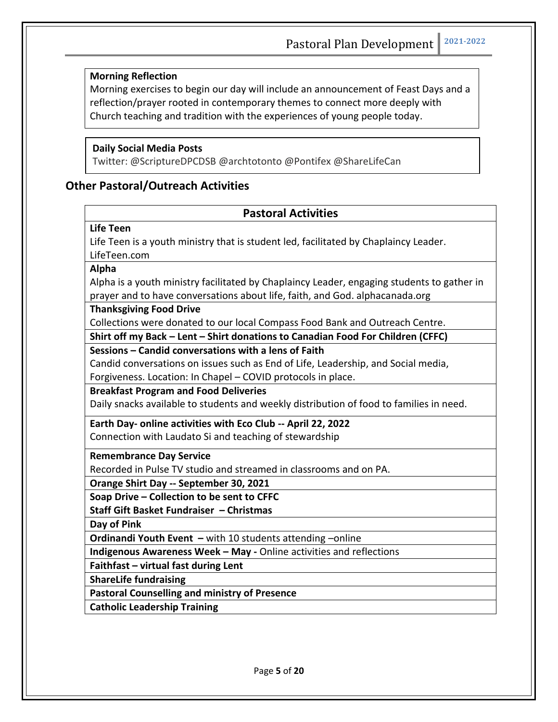#### **Morning Reflection**

Morning exercises to begin our day will include an announcement of Feast Days and a reflection/prayer rooted in contemporary themes to connect more deeply with Church teaching and tradition with the experiences of young people today.

#### **Daily Social Media Posts**

Twitter: @ScriptureDPCDSB @archtotonto @Pontifex @ShareLifeCan

# **Other Pastoral/Outreach Activities**

#### **Pastoral Activities**

#### **Life Teen**

Life Teen is a youth ministry that is student led, facilitated by Chaplaincy Leader. LifeTeen.com

**Alpha** 

Alpha is a youth ministry facilitated by Chaplaincy Leader, engaging students to gather in prayer and to have conversations about life, faith, and God. alphacanada.org

#### **Thanksgiving Food Drive**

Collections were donated to our local Compass Food Bank and Outreach Centre.

**Shirt off my Back – Lent – Shirt donations to Canadian Food For Children (CFFC)**

#### **Sessions – Candid conversations with a lens of Faith**

Candid conversations on issues such as End of Life, Leadership, and Social media,

Forgiveness. Location: In Chapel – COVID protocols in place.

#### **Breakfast Program and Food Deliveries**

Daily snacks available to students and weekly distribution of food to families in need.

**Earth Day- online activities with Eco Club -- April 22, 2022** Connection with Laudato Si and teaching of stewardship

**Remembrance Day Service**

Recorded in Pulse TV studio and streamed in classrooms and on PA.

**Orange Shirt Day -- September 30, 2021**

**Soap Drive – Collection to be sent to CFFC**

**Staff Gift Basket Fundraiser – Christmas**

**Day of Pink**

**Ordinandi Youth Event –** with 10 students attending –online

**Indigenous Awareness Week – May -** Online activities and reflections

**Faithfast – virtual fast during Lent** 

**ShareLife fundraising** 

**Pastoral Counselling and ministry of Presence** 

**Catholic Leadership Training**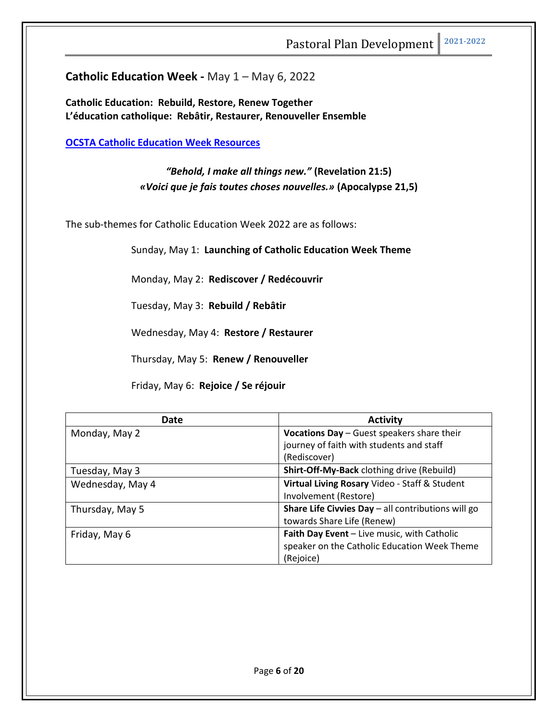**Catholic Education Week - May 1 – May 6, 2022** 

**Catholic Education: Rebuild, Restore, Renew Together L'éducation catholique: Rebâtir, Restaurer, Renouveller Ensemble**

**OCSTA Catholic Education Week Resources**

*"Behold, I make all things new."* **(Revelation 21:5)** *«Voici que je fais toutes choses nouvelles.»* **(Apocalypse 21,5)**

The sub-themes for Catholic Education Week 2022 are as follows:

Sunday, May 1: **Launching of Catholic Education Week Theme**

Monday, May 2: **Rediscover / Redécouvrir**

Tuesday, May 3: **Rebuild / Rebâtir**

Wednesday, May 4: **Restore / Restaurer**

Thursday, May 5: **Renew / Renouveller**

Friday, May 6: **Rejoice / Se réjouir**

| Date             | <b>Activity</b>                                    |
|------------------|----------------------------------------------------|
| Monday, May 2    | Vocations Day - Guest speakers share their         |
|                  | journey of faith with students and staff           |
|                  | (Rediscover)                                       |
| Tuesday, May 3   | Shirt-Off-My-Back clothing drive (Rebuild)         |
| Wednesday, May 4 | Virtual Living Rosary Video - Staff & Student      |
|                  | Involvement (Restore)                              |
| Thursday, May 5  | Share Life Civvies Day - all contributions will go |
|                  | towards Share Life (Renew)                         |
| Friday, May 6    | Faith Day Event - Live music, with Catholic        |
|                  | speaker on the Catholic Education Week Theme       |
|                  | (Rejoice)                                          |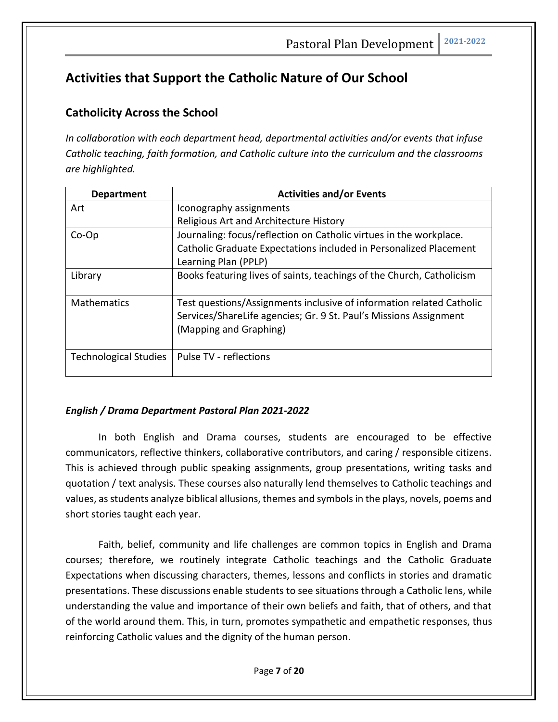# **Activities that Support the Catholic Nature of Our School**

# **Catholicity Across the School**

*In collaboration with each department head, departmental activities and/or events that infuse Catholic teaching, faith formation, and Catholic culture into the curriculum and the classrooms are highlighted.*

| <b>Department</b>            | <b>Activities and/or Events</b>                                       |
|------------------------------|-----------------------------------------------------------------------|
| Art                          | Iconography assignments                                               |
|                              | Religious Art and Architecture History                                |
| $Co-Op$                      | Journaling: focus/reflection on Catholic virtues in the workplace.    |
|                              | Catholic Graduate Expectations included in Personalized Placement     |
|                              | Learning Plan (PPLP)                                                  |
| Library                      | Books featuring lives of saints, teachings of the Church, Catholicism |
|                              |                                                                       |
| <b>Mathematics</b>           | Test questions/Assignments inclusive of information related Catholic  |
|                              | Services/ShareLife agencies; Gr. 9 St. Paul's Missions Assignment     |
|                              | (Mapping and Graphing)                                                |
|                              |                                                                       |
| <b>Technological Studies</b> | Pulse TV - reflections                                                |
|                              |                                                                       |

#### *English / Drama Department Pastoral Plan 2021-2022*

In both English and Drama courses, students are encouraged to be effective communicators, reflective thinkers, collaborative contributors, and caring / responsible citizens. This is achieved through public speaking assignments, group presentations, writing tasks and quotation / text analysis. These courses also naturally lend themselves to Catholic teachings and values, as students analyze biblical allusions, themes and symbols in the plays, novels, poems and short stories taught each year.

Faith, belief, community and life challenges are common topics in English and Drama courses; therefore, we routinely integrate Catholic teachings and the Catholic Graduate Expectations when discussing characters, themes, lessons and conflicts in stories and dramatic presentations. These discussions enable students to see situations through a Catholic lens, while understanding the value and importance of their own beliefs and faith, that of others, and that of the world around them. This, in turn, promotes sympathetic and empathetic responses, thus reinforcing Catholic values and the dignity of the human person.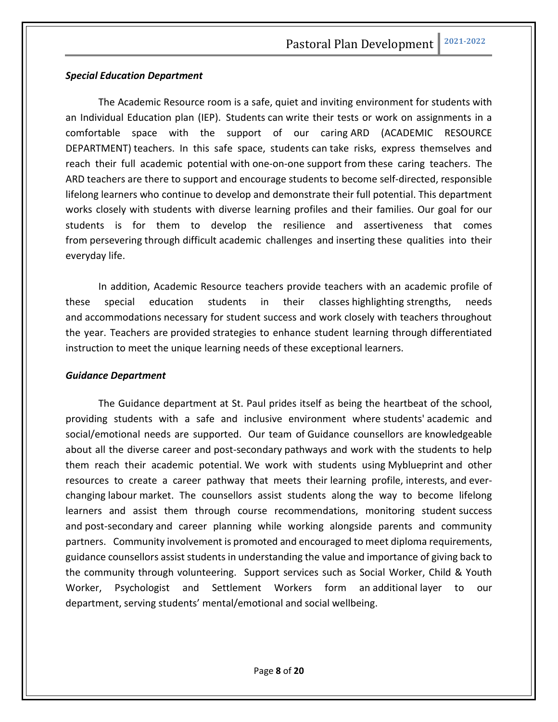#### *Special Education Department*

The Academic Resource room is a safe, quiet and inviting environment for students with an Individual Education plan (IEP). Students can write their tests or work on assignments in a comfortable space with the support of our caring ARD (ACADEMIC RESOURCE DEPARTMENT) teachers. In this safe space, students can take risks, express themselves and reach their full academic potential with one-on-one support from these caring teachers. The ARD teachers are there to support and encourage students to become self-directed, responsible lifelong learners who continue to develop and demonstrate their full potential. This department works closely with students with diverse learning profiles and their families. Our goal for our students is for them to develop the resilience and assertiveness that comes from persevering through difficult academic challenges and inserting these qualities into their everyday life.

In addition, Academic Resource teachers provide teachers with an academic profile of these special education students in their classes highlighting strengths, needs and accommodations necessary for student success and work closely with teachers throughout the year. Teachers are provided strategies to enhance student learning through differentiated instruction to meet the unique learning needs of these exceptional learners.

#### *Guidance Department*

The Guidance department at St. Paul prides itself as being the heartbeat of the school, providing students with a safe and inclusive environment where students' academic and social/emotional needs are supported. Our team of Guidance counsellors are knowledgeable about all the diverse career and post-secondary pathways and work with the students to help them reach their academic potential. We work with students using Myblueprint and other resources to create a career pathway that meets their learning profile, interests, and everchanging labour market. The counsellors assist students along the way to become lifelong learners and assist them through course recommendations, monitoring student success and post-secondary and career planning while working alongside parents and community partners. Community involvement is promoted and encouraged to meet diploma requirements, guidance counsellors assist students in understanding the value and importance of giving back to the community through volunteering. Support services such as Social Worker, Child & Youth Worker, Psychologist and Settlement Workers form an additional layer to our department, serving students' mental/emotional and social wellbeing.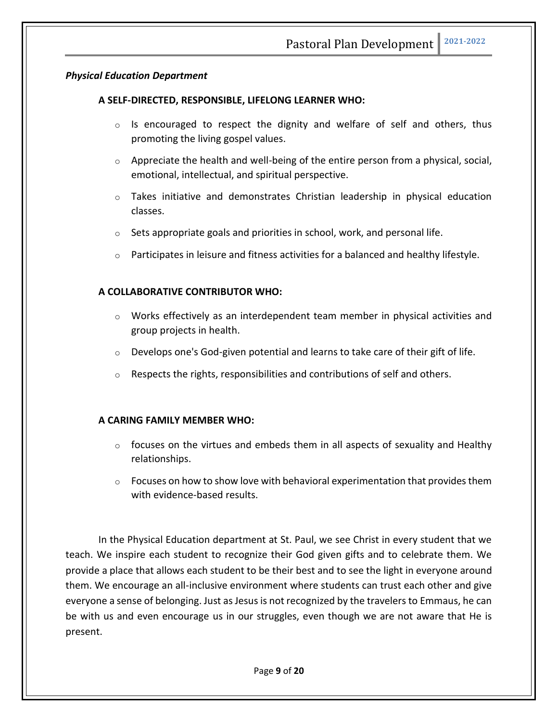#### *Physical Education Department*

#### **A SELF-DIRECTED, RESPONSIBLE, LIFELONG LEARNER WHO:**

- $\circ$  Is encouraged to respect the dignity and welfare of self and others, thus promoting the living gospel values.
- $\circ$  Appreciate the health and well-being of the entire person from a physical, social, emotional, intellectual, and spiritual perspective.
- $\circ$  Takes initiative and demonstrates Christian leadership in physical education classes.
- $\circ$  Sets appropriate goals and priorities in school, work, and personal life.
- $\circ$  Participates in leisure and fitness activities for a balanced and healthy lifestyle.

#### **A COLLABORATIVE CONTRIBUTOR WHO:**

- o Works effectively as an interdependent team member in physical activities and group projects in health.
- $\circ$  Develops one's God-given potential and learns to take care of their gift of life.
- o Respects the rights, responsibilities and contributions of self and others.

#### **A CARING FAMILY MEMBER WHO:**

- $\circ$  focuses on the virtues and embeds them in all aspects of sexuality and Healthy relationships.
- $\circ$  Focuses on how to show love with behavioral experimentation that provides them with evidence-based results.

In the Physical Education department at St. Paul, we see Christ in every student that we teach. We inspire each student to recognize their God given gifts and to celebrate them. We provide a place that allows each student to be their best and to see the light in everyone around them. We encourage an all-inclusive environment where students can trust each other and give everyone a sense of belonging. Just as Jesus is not recognized by the travelers to Emmaus, he can be with us and even encourage us in our struggles, even though we are not aware that He is present.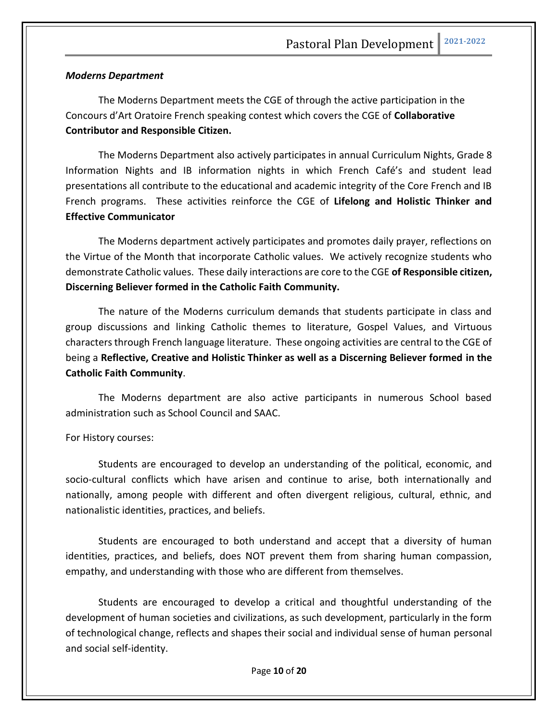#### *Moderns Department*

The Moderns Department meets the CGE of through the active participation in the Concours d'Art Oratoire French speaking contest which covers the CGE of **Collaborative Contributor and Responsible Citizen.** 

The Moderns Department also actively participates in annual Curriculum Nights, Grade 8 Information Nights and IB information nights in which French Café's and student lead presentations all contribute to the educational and academic integrity of the Core French and IB French programs. These activities reinforce the CGE of **Lifelong and Holistic Thinker and Effective Communicator** 

The Moderns department actively participates and promotes daily prayer, reflections on the Virtue of the Month that incorporate Catholic values. We actively recognize students who demonstrate Catholic values. These daily interactions are core to the CGE **of Responsible citizen, Discerning Believer formed in the Catholic Faith Community.**

The nature of the Moderns curriculum demands that students participate in class and group discussions and linking Catholic themes to literature, Gospel Values, and Virtuous characters through French language literature. These ongoing activities are central to the CGE of being a **Reflective, Creative and Holistic Thinker as well as a Discerning Believer formed in the Catholic Faith Community**.

The Moderns department are also active participants in numerous School based administration such as School Council and SAAC.

#### For History courses:

Students are encouraged to develop an understanding of the political, economic, and socio-cultural conflicts which have arisen and continue to arise, both internationally and nationally, among people with different and often divergent religious, cultural, ethnic, and nationalistic identities, practices, and beliefs.

Students are encouraged to both understand and accept that a diversity of human identities, practices, and beliefs, does NOT prevent them from sharing human compassion, empathy, and understanding with those who are different from themselves.

Students are encouraged to develop a critical and thoughtful understanding of the development of human societies and civilizations, as such development, particularly in the form of technological change, reflects and shapes their social and individual sense of human personal and social self-identity.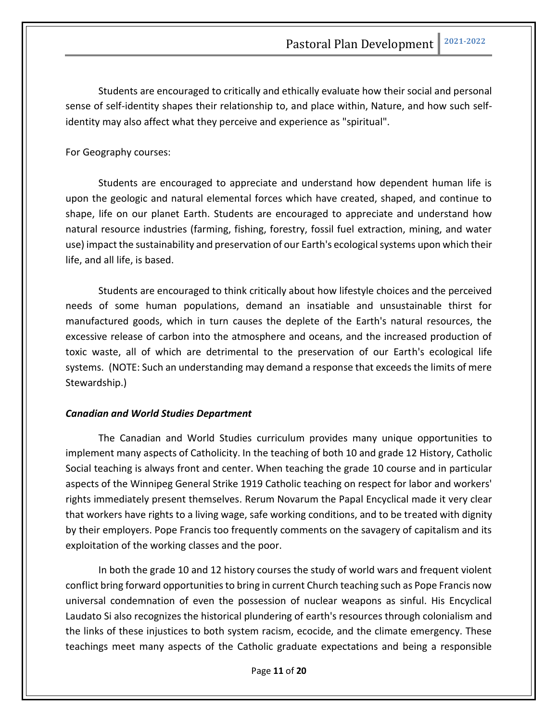Students are encouraged to critically and ethically evaluate how their social and personal sense of self-identity shapes their relationship to, and place within, Nature, and how such selfidentity may also affect what they perceive and experience as "spiritual".

#### For Geography courses:

Students are encouraged to appreciate and understand how dependent human life is upon the geologic and natural elemental forces which have created, shaped, and continue to shape, life on our planet Earth. Students are encouraged to appreciate and understand how natural resource industries (farming, fishing, forestry, fossil fuel extraction, mining, and water use) impact the sustainability and preservation of our Earth's ecological systems upon which their life, and all life, is based.

Students are encouraged to think critically about how lifestyle choices and the perceived needs of some human populations, demand an insatiable and unsustainable thirst for manufactured goods, which in turn causes the deplete of the Earth's natural resources, the excessive release of carbon into the atmosphere and oceans, and the increased production of toxic waste, all of which are detrimental to the preservation of our Earth's ecological life systems. (NOTE: Such an understanding may demand a response that exceeds the limits of mere Stewardship.)

#### *Canadian and World Studies Department*

The Canadian and World Studies curriculum provides many unique opportunities to implement many aspects of Catholicity. In the teaching of both 10 and grade 12 History, Catholic Social teaching is always front and center. When teaching the grade 10 course and in particular aspects of the Winnipeg General Strike 1919 Catholic teaching on respect for labor and workers' rights immediately present themselves. Rerum Novarum the Papal Encyclical made it very clear that workers have rights to a living wage, safe working conditions, and to be treated with dignity by their employers. Pope Francis too frequently comments on the savagery of capitalism and its exploitation of the working classes and the poor.

In both the grade 10 and 12 history courses the study of world wars and frequent violent conflict bring forward opportunities to bring in current Church teaching such as Pope Francis now universal condemnation of even the possession of nuclear weapons as sinful. His Encyclical Laudato Si also recognizes the historical plundering of earth's resources through colonialism and the links of these injustices to both system racism, ecocide, and the climate emergency. These teachings meet many aspects of the Catholic graduate expectations and being a responsible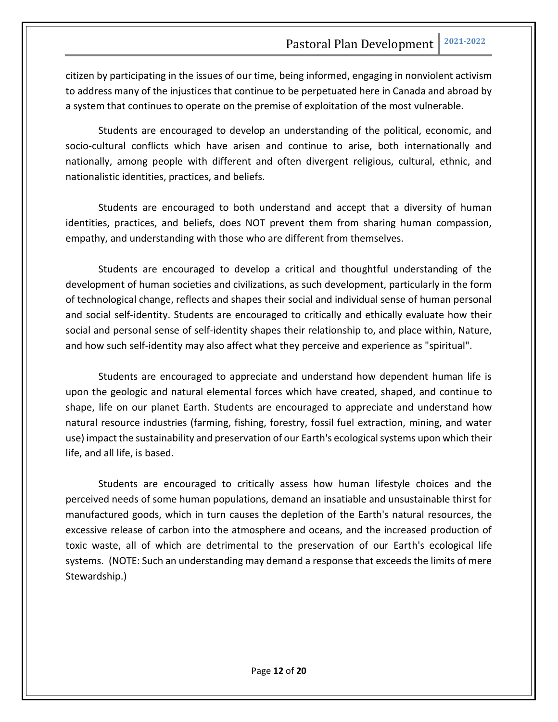citizen by participating in the issues of our time, being informed, engaging in nonviolent activism to address many of the injustices that continue to be perpetuated here in Canada and abroad by a system that continues to operate on the premise of exploitation of the most vulnerable.

Students are encouraged to develop an understanding of the political, economic, and socio-cultural conflicts which have arisen and continue to arise, both internationally and nationally, among people with different and often divergent religious, cultural, ethnic, and nationalistic identities, practices, and beliefs.

Students are encouraged to both understand and accept that a diversity of human identities, practices, and beliefs, does NOT prevent them from sharing human compassion, empathy, and understanding with those who are different from themselves.

Students are encouraged to develop a critical and thoughtful understanding of the development of human societies and civilizations, as such development, particularly in the form of technological change, reflects and shapes their social and individual sense of human personal and social self-identity. Students are encouraged to critically and ethically evaluate how their social and personal sense of self-identity shapes their relationship to, and place within, Nature, and how such self-identity may also affect what they perceive and experience as "spiritual".

Students are encouraged to appreciate and understand how dependent human life is upon the geologic and natural elemental forces which have created, shaped, and continue to shape, life on our planet Earth. Students are encouraged to appreciate and understand how natural resource industries (farming, fishing, forestry, fossil fuel extraction, mining, and water use) impact the sustainability and preservation of our Earth's ecological systems upon which their life, and all life, is based.

Students are encouraged to critically assess how human lifestyle choices and the perceived needs of some human populations, demand an insatiable and unsustainable thirst for manufactured goods, which in turn causes the depletion of the Earth's natural resources, the excessive release of carbon into the atmosphere and oceans, and the increased production of toxic waste, all of which are detrimental to the preservation of our Earth's ecological life systems. (NOTE: Such an understanding may demand a response that exceeds the limits of mere Stewardship.)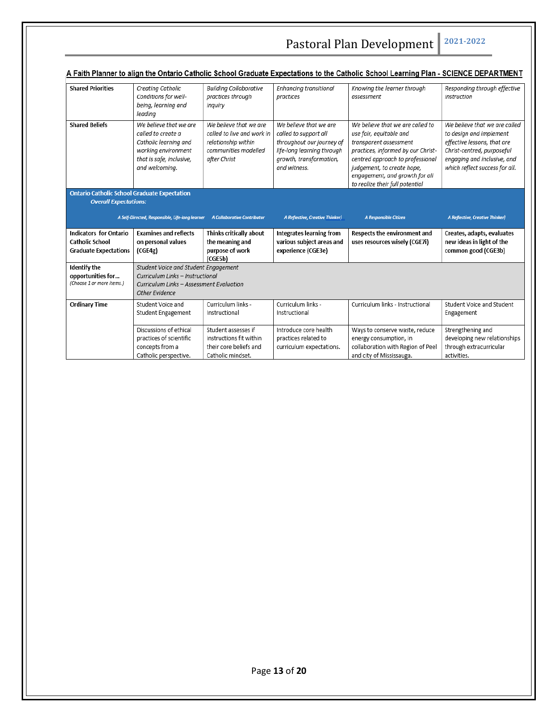| A Faith Planner to align the Ontario Catholic School Graduate Expectations to the Catholic School Learning Plan - SCIENCE DEPARTMENT |                                                                                                                                            |                                                                                                                     |                                                                                                                                                       |                                                                                                                                                                                                                                                                    |                                                                                                                                                                                        |
|--------------------------------------------------------------------------------------------------------------------------------------|--------------------------------------------------------------------------------------------------------------------------------------------|---------------------------------------------------------------------------------------------------------------------|-------------------------------------------------------------------------------------------------------------------------------------------------------|--------------------------------------------------------------------------------------------------------------------------------------------------------------------------------------------------------------------------------------------------------------------|----------------------------------------------------------------------------------------------------------------------------------------------------------------------------------------|
| <b>Shared Priorities</b>                                                                                                             | Creating Catholic<br>Conditions for well-<br>being, learning and<br>leading                                                                | <b>Building Collaborative</b><br>practices through<br>inquiry                                                       | Enhancing transitional<br>practices                                                                                                                   | Knowing the learner through<br>assessment                                                                                                                                                                                                                          | Responding through effective<br>instruction                                                                                                                                            |
| <b>Shared Beliefs</b>                                                                                                                | We believe that we are<br>called to create a<br>Catholic learning and<br>working environment<br>that is safe, inclusive,<br>and welcoming. | We believe that we are<br>called to live and work in<br>relationship within<br>communities modelled<br>after Christ | We believe that we are<br>called to support all<br>throughout our journey of<br>life-long learning through<br>growth, transformation,<br>and witness. | We believe that we are called to<br>use fair, equitable and<br>transparent assessment<br>practices, informed by our Christ-<br>centred approach to professional<br>judgement, to create hope,<br>engagement, and growth for all<br>to realize their full potential | We believe that we are called<br>to design and implement<br>effective lessons, that are<br>Christ-centred, purposeful<br>engaging and inclusive, and<br>which reflect success for all. |
| <b>Ontario Catholic School Graduate Expectation</b><br><b>Overall Expectations:</b>                                                  |                                                                                                                                            |                                                                                                                     |                                                                                                                                                       |                                                                                                                                                                                                                                                                    |                                                                                                                                                                                        |
|                                                                                                                                      |                                                                                                                                            |                                                                                                                     |                                                                                                                                                       |                                                                                                                                                                                                                                                                    |                                                                                                                                                                                        |
|                                                                                                                                      |                                                                                                                                            |                                                                                                                     |                                                                                                                                                       |                                                                                                                                                                                                                                                                    |                                                                                                                                                                                        |
|                                                                                                                                      | A Self-Directed, Responsible, Life-long learner                                                                                            | <b>A Collaborative Contributor</b>                                                                                  | <b>A Reflective, Creative Thinker)</b>                                                                                                                | A Responsible Citizen                                                                                                                                                                                                                                              | <b>A Reflective, Creative Thinker)</b>                                                                                                                                                 |
| <b>Indicators for Ontario</b><br><b>Catholic School</b><br><b>Graduate Expectations</b>                                              | <b>Examines and reflects</b><br>on personal values<br>(CGE4g)                                                                              | Thinks critically about<br>the meaning and<br>purpose of work<br>(CGE5b)                                            | <b>Integrates learning from</b><br>various subject areas and<br>experience (CGE3e)                                                                    | Respects the environment and<br>uses resources wisely (CGE7i)                                                                                                                                                                                                      | Creates, adapts, evaluates<br>new ideas in light of the<br>common good (CGE3b)                                                                                                         |
| Identify the<br>opportunities for<br>(Choose 1 or more items.)                                                                       | Student Voice and Student Engagement<br>Curriculum Links - Instructional<br>Curriculum Links - Assessment Evaluation<br>Other Evidence     |                                                                                                                     |                                                                                                                                                       |                                                                                                                                                                                                                                                                    |                                                                                                                                                                                        |
| <b>Ordinary Time</b>                                                                                                                 | Student Voice and<br>Student Engagement                                                                                                    | Curriculum links -<br>Instructional                                                                                 | Curriculum links -<br>Instructional                                                                                                                   | Curriculum links - Instructional                                                                                                                                                                                                                                   | Student Voice and Student<br>Engagement                                                                                                                                                |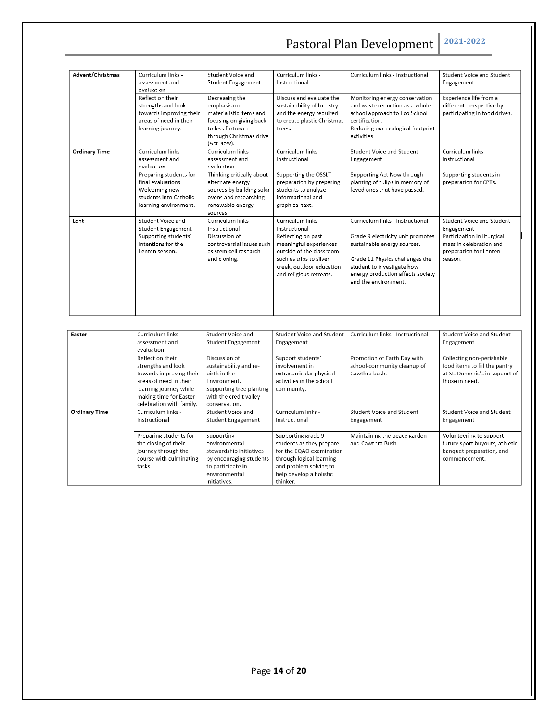| Advent/Christmas     | Curriculum links -<br>assessment and<br>evaluation                                                               | Student Voice and<br><b>Student Engagement</b>                                                                                                    | Curriculum links -<br>Instructional                                                                                                                                                               | Curriculum links - Instructional                                                                                                                                                                                                   | Student Voice and Student<br>Engagement                                                                                                |
|----------------------|------------------------------------------------------------------------------------------------------------------|---------------------------------------------------------------------------------------------------------------------------------------------------|---------------------------------------------------------------------------------------------------------------------------------------------------------------------------------------------------|------------------------------------------------------------------------------------------------------------------------------------------------------------------------------------------------------------------------------------|----------------------------------------------------------------------------------------------------------------------------------------|
|                      | Reflect on their<br>strengths and look<br>towards improving their<br>areas of need in their<br>learning journey. | Decreasing the<br>emphasis on<br>materialistic items and<br>focusing on giving back<br>to less fortunate<br>through Christmas drive<br>(Act Now). | Discuss and evaluate the<br>sustainability of forestry<br>and the energy required<br>to create plastic Christmas<br>trees.                                                                        | Monitoring energy conservation<br>and waste reduction as a whole<br>school approach to Eco School<br>certification.<br>Reducing our ecological footprint<br>activities                                                             | Experience life from a<br>different perspective by<br>participating in food drives.                                                    |
| <b>Ordinary Time</b> | Curriculum links -<br>assessment and<br>evaluation                                                               | Curriculum links -<br>assessment and<br>evaluation                                                                                                | Curriculum links -<br>Instructional                                                                                                                                                               | Student Voice and Student<br>Engagement                                                                                                                                                                                            | Curriculum links -<br>Instructional                                                                                                    |
|                      | Preparing students for<br>final evaluations.<br>Welcoming new<br>students into Catholic<br>learning environment. | Thinking critically about<br>alternate energy<br>sources by building solar<br>ovens and researching<br>renewable energy<br>sources.               | Supporting the OSSLT<br>preparation by preparing<br>students to analyze<br>informational and<br>graphical text.                                                                                   | Supporting Act Now through<br>planting of tulips in memory of<br>loved ones that have passed.                                                                                                                                      | Supporting students in<br>preparation for CPTs.                                                                                        |
| Lent                 | Student Voice and<br>Student Engagement<br>Supporting students'<br>intentions for the<br>Lenten season.          | Curriculum links -<br>Instructional<br>Discussion of<br>controversial issues such<br>as stem cell research<br>and cloning.                        | Curriculum links -<br>Instructional<br>Reflecting on past<br>meaningful experiences<br>outside of the classroom<br>such as trips to silver<br>creek, outdoor education<br>and religious retreats. | Curriculum links - Instructional<br>Grade 9 electricity unit promotes<br>sustainable energy sources.<br>Grade 11 Physics challenges the<br>student to investigate how<br>energy production affects society<br>and the environment. | Student Voice and Student<br>Engagement<br>Participation in liturgical<br>mass in celebration and<br>preparation for Lenten<br>season. |

| Easter               | Curriculum links -       | Student Voice and         | <b>Student Voice and Student</b> | Curriculum links - Instructional | <b>Student Voice and Student</b> |
|----------------------|--------------------------|---------------------------|----------------------------------|----------------------------------|----------------------------------|
|                      | assessment and           | <b>Student Engagement</b> | Engagement                       |                                  | Engagement                       |
|                      | evaluation               |                           |                                  |                                  |                                  |
|                      | Reflect on their         | Discussion of             | Support students'                | Promotion of Earth Day with      | Collecting non-perishable        |
|                      | strengths and look       | sustainability and re-    | involvement in                   | school-community cleanup of      | food items to fill the pantry    |
|                      | towards improving their  | birth in the              | extracurricular physical         | Cawthra bush.                    | at St. Domenic's in support of   |
|                      | areas of need in their   | Environment.              | activities in the school         |                                  | those in need.                   |
|                      | learning journey while   | Supporting tree planting  | community.                       |                                  |                                  |
|                      | making time for Easter   | with the credit valley    |                                  |                                  |                                  |
|                      | celebration with family. | conservation              |                                  |                                  |                                  |
| <b>Ordinary Time</b> | Curriculum links -       | Student Voice and         | Curriculum links -               | <b>Student Voice and Student</b> | <b>Student Voice and Student</b> |
|                      | Instructional            | <b>Student Engagement</b> | Instructional                    | Engagement                       | Engagement                       |
|                      |                          |                           |                                  |                                  |                                  |
|                      | Preparing students for   | Supporting                | Supporting grade 9               | Maintaining the peace garden     | Volunteering to support          |
|                      | the closing of their     | environmental             | students as they prepare         | and Cawthra Bush.                | future sport buyouts, athletic   |
|                      | journey through the      | stewardship initiatives   | for the EQAO examination         |                                  | banquet preparation, and         |
|                      | course with culminating  | by encouraging students   | through logical learning         |                                  | commencement.                    |
|                      | tasks.                   | to participate in         | and problem solving to           |                                  |                                  |
|                      |                          | environmental             | help develop a holistic          |                                  |                                  |
|                      |                          | initiatives.              | thinker.                         |                                  |                                  |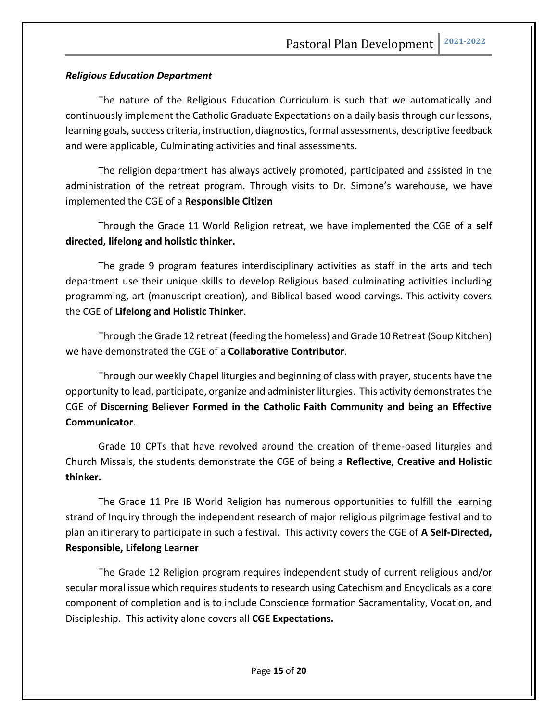#### *Religious Education Department*

The nature of the Religious Education Curriculum is such that we automatically and continuously implement the Catholic Graduate Expectations on a daily basis through our lessons, learning goals, success criteria, instruction, diagnostics, formal assessments, descriptive feedback and were applicable, Culminating activities and final assessments.

The religion department has always actively promoted, participated and assisted in the administration of the retreat program. Through visits to Dr. Simone's warehouse, we have implemented the CGE of a **Responsible Citizen**

Through the Grade 11 World Religion retreat, we have implemented the CGE of a **self directed, lifelong and holistic thinker.** 

The grade 9 program features interdisciplinary activities as staff in the arts and tech department use their unique skills to develop Religious based culminating activities including programming, art (manuscript creation), and Biblical based wood carvings. This activity covers the CGE of **Lifelong and Holistic Thinker**.

Through the Grade 12 retreat (feeding the homeless) and Grade 10 Retreat (Soup Kitchen) we have demonstrated the CGE of a **Collaborative Contributor**.

Through our weekly Chapel liturgies and beginning of class with prayer, students have the opportunity to lead, participate, organize and administer liturgies. This activity demonstrates the CGE of **Discerning Believer Formed in the Catholic Faith Community and being an Effective Communicator**.

Grade 10 CPTs that have revolved around the creation of theme-based liturgies and Church Missals, the students demonstrate the CGE of being a **Reflective, Creative and Holistic thinker.** 

The Grade 11 Pre IB World Religion has numerous opportunities to fulfill the learning strand of Inquiry through the independent research of major religious pilgrimage festival and to plan an itinerary to participate in such a festival. This activity covers the CGE of **A Self-Directed, Responsible, Lifelong Learner**

The Grade 12 Religion program requires independent study of current religious and/or secular moral issue which requires students to research using Catechism and Encyclicals as a core component of completion and is to include Conscience formation Sacramentality, Vocation, and Discipleship. This activity alone covers all **CGE Expectations.**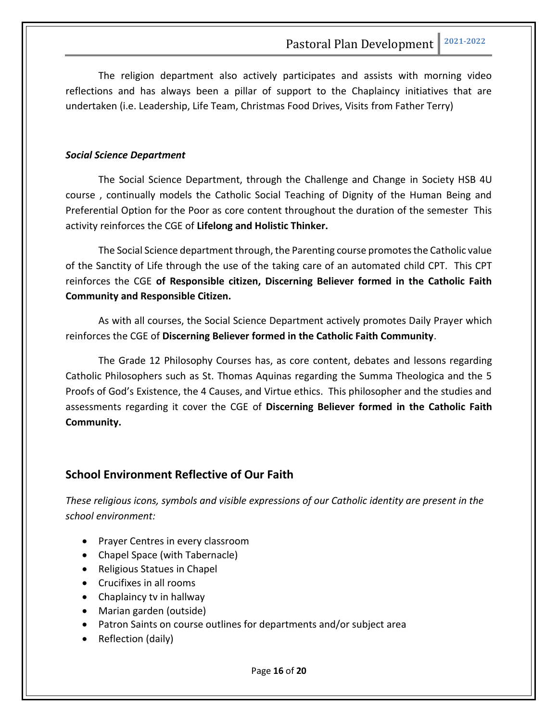The religion department also actively participates and assists with morning video reflections and has always been a pillar of support to the Chaplaincy initiatives that are undertaken (i.e. Leadership, Life Team, Christmas Food Drives, Visits from Father Terry)

#### *Social Science Department*

The Social Science Department, through the Challenge and Change in Society HSB 4U course , continually models the Catholic Social Teaching of Dignity of the Human Being and Preferential Option for the Poor as core content throughout the duration of the semester This activity reinforces the CGE of **Lifelong and Holistic Thinker.**

The Social Science department through, the Parenting course promotes the Catholic value of the Sanctity of Life through the use of the taking care of an automated child CPT. This CPT reinforces the CGE **of Responsible citizen, Discerning Believer formed in the Catholic Faith Community and Responsible Citizen.**

As with all courses, the Social Science Department actively promotes Daily Prayer which reinforces the CGE of **Discerning Believer formed in the Catholic Faith Community**.

The Grade 12 Philosophy Courses has, as core content, debates and lessons regarding Catholic Philosophers such as St. Thomas Aquinas regarding the Summa Theologica and the 5 Proofs of God's Existence, the 4 Causes, and Virtue ethics. This philosopher and the studies and assessments regarding it cover the CGE of **Discerning Believer formed in the Catholic Faith Community.** 

# **School Environment Reflective of Our Faith**

*These religious icons, symbols and visible expressions of our Catholic identity are present in the school environment:*

- Prayer Centres in every classroom
- Chapel Space (with Tabernacle)
- Religious Statues in Chapel
- Crucifixes in all rooms
- Chaplaincy tv in hallway
- Marian garden (outside)
- Patron Saints on course outlines for departments and/or subject area
- Reflection (daily)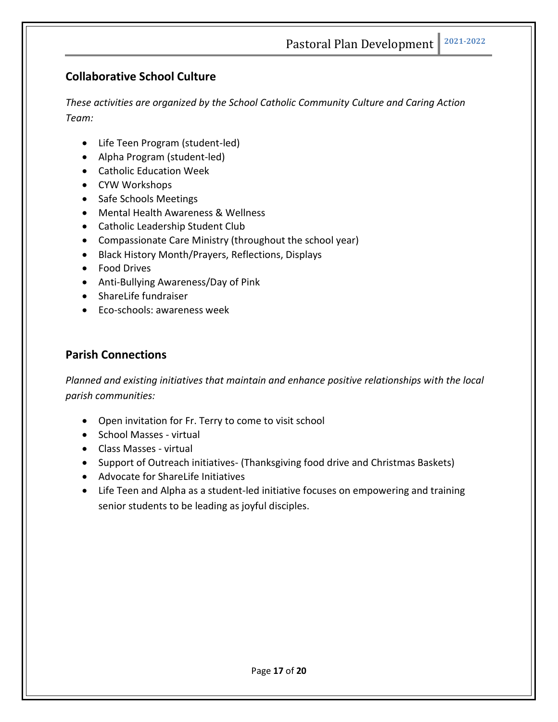# **Collaborative School Culture**

*These activities are organized by the School Catholic Community Culture and Caring Action Team:*

- Life Teen Program (student-led)
- Alpha Program (student-led)
- Catholic Education Week
- CYW Workshops
- Safe Schools Meetings
- Mental Health Awareness & Wellness
- Catholic Leadership Student Club
- Compassionate Care Ministry (throughout the school year)
- Black History Month/Prayers, Reflections, Displays
- Food Drives
- Anti-Bullying Awareness/Day of Pink
- ShareLife fundraiser
- Eco-schools: awareness week

# **Parish Connections**

*Planned and existing initiatives that maintain and enhance positive relationships with the local parish communities:*

- Open invitation for Fr. Terry to come to visit school
- School Masses virtual
- Class Masses virtual
- Support of Outreach initiatives- (Thanksgiving food drive and Christmas Baskets)
- Advocate for ShareLife Initiatives
- Life Teen and Alpha as a student-led initiative focuses on empowering and training senior students to be leading as joyful disciples.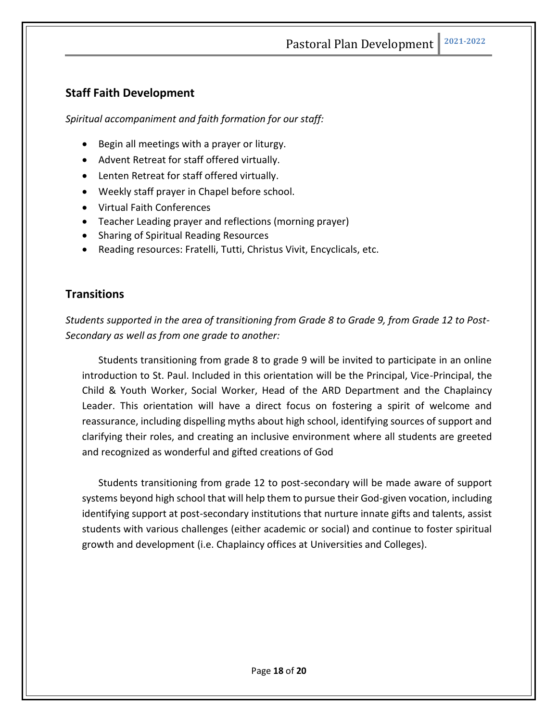# **Staff Faith Development**

*Spiritual accompaniment and faith formation for our staff:*

- Begin all meetings with a prayer or liturgy.
- Advent Retreat for staff offered virtually.
- Lenten Retreat for staff offered virtually.
- Weekly staff prayer in Chapel before school.
- Virtual Faith Conferences
- Teacher Leading prayer and reflections (morning prayer)
- Sharing of Spiritual Reading Resources
- Reading resources: Fratelli, Tutti, Christus Vivit, Encyclicals, etc.

### **Transitions**

*Students supported in the area of transitioning from Grade 8 to Grade 9, from Grade 12 to Post-Secondary as well as from one grade to another:*

Students transitioning from grade 8 to grade 9 will be invited to participate in an online introduction to St. Paul. Included in this orientation will be the Principal, Vice-Principal, the Child & Youth Worker, Social Worker, Head of the ARD Department and the Chaplaincy Leader. This orientation will have a direct focus on fostering a spirit of welcome and reassurance, including dispelling myths about high school, identifying sources of support and clarifying their roles, and creating an inclusive environment where all students are greeted and recognized as wonderful and gifted creations of God

Students transitioning from grade 12 to post-secondary will be made aware of support systems beyond high school that will help them to pursue their God-given vocation, including identifying support at post-secondary institutions that nurture innate gifts and talents, assist students with various challenges (either academic or social) and continue to foster spiritual growth and development (i.e. Chaplaincy offices at Universities and Colleges).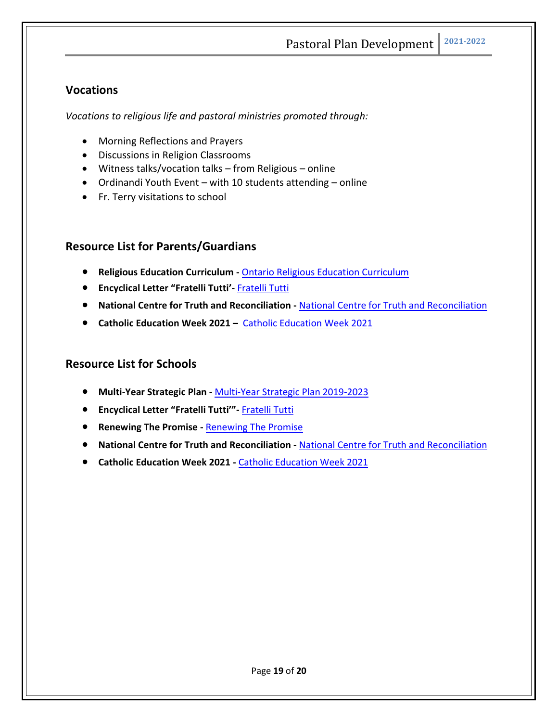# **Vocations**

*Vocations to religious life and pastoral ministries promoted through:*

- Morning Reflections and Prayers
- Discussions in Religion Classrooms
- Witness talks/vocation talks from Religious online
- Ordinandi Youth Event with 10 students attending online
- Fr. Terry visitations to school

# **Resource List for Parents/Guardians**

- **Religious Education Curriculum -** Ontario Religious Education Curriculum
- **Encyclical Letter "Fratelli Tutti'-** Fratelli Tutti
- **National Centre for Truth and Reconciliation -** National Centre for Truth and Reconciliation
- **Catholic Education Week 2021 –** Catholic Education Week 2021

# **Resource List for Schools**

- **Multi-Year Strategic Plan -** Multi-Year Strategic Plan 2019-2023
- **Encyclical Letter "Fratelli Tutti'"-** Fratelli Tutti
- **Renewing The Promise -** Renewing The Promise
- **National Centre for Truth and Reconciliation -** National Centre for Truth and Reconciliation
- **Catholic Education Week 2021 -** Catholic Education Week 2021